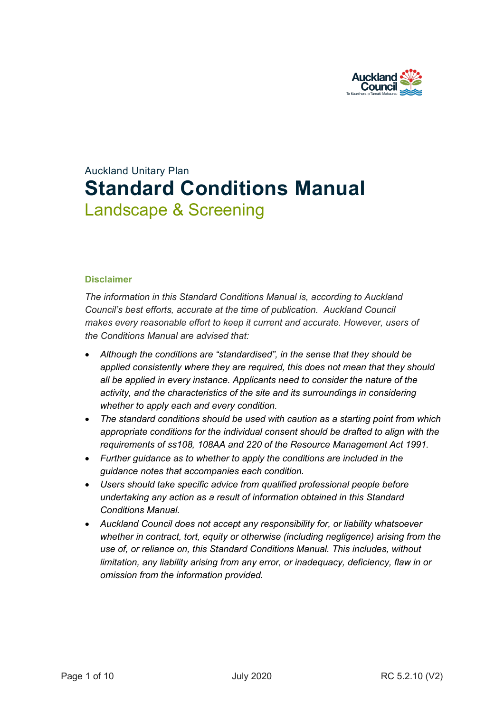

# Auckland Unitary Plan **Standard Conditions Manual** Landscape & Screening

#### **Disclaimer**

*The information in this Standard Conditions Manual is, according to Auckland Council's best efforts, accurate at the time of publication. Auckland Council makes every reasonable effort to keep it current and accurate. However, users of the Conditions Manual are advised that:* 

- *Although the conditions are "standardised", in the sense that they should be applied consistently where they are required, this does not mean that they should all be applied in every instance. Applicants need to consider the nature of the activity, and the characteristics of the site and its surroundings in considering whether to apply each and every condition.*
- *The standard conditions should be used with caution as a starting point from which appropriate conditions for the individual consent should be drafted to align with the requirements of ss108, 108AA and 220 of the Resource Management Act 1991.*
- *Further guidance as to whether to apply the conditions are included in the guidance notes that accompanies each condition.*
- *Users should take specific advice from qualified professional people before undertaking any action as a result of information obtained in this Standard Conditions Manual.*
- *Auckland Council does not accept any responsibility for, or liability whatsoever whether in contract, tort, equity or otherwise (including negligence) arising from the use of, or reliance on, this Standard Conditions Manual. This includes, without limitation, any liability arising from any error, or inadequacy, deficiency, flaw in or omission from the information provided.*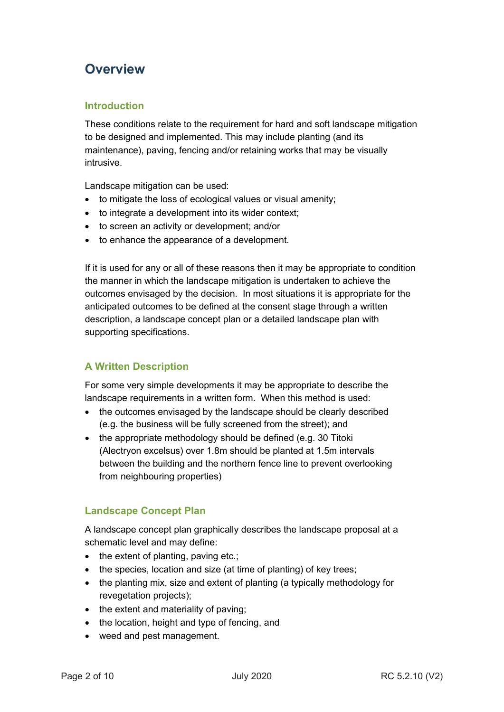## **Overview**

## **Introduction**

These conditions relate to the requirement for hard and soft landscape mitigation to be designed and implemented. This may include planting (and its maintenance), paving, fencing and/or retaining works that may be visually intrusive.

Landscape mitigation can be used:

- to mitigate the loss of ecological values or visual amenity;
- to integrate a development into its wider context;
- to screen an activity or development; and/or
- to enhance the appearance of a development.

If it is used for any or all of these reasons then it may be appropriate to condition the manner in which the landscape mitigation is undertaken to achieve the outcomes envisaged by the decision. In most situations it is appropriate for the anticipated outcomes to be defined at the consent stage through a written description, a landscape concept plan or a detailed landscape plan with supporting specifications.

## **A Written Description**

For some very simple developments it may be appropriate to describe the landscape requirements in a written form. When this method is used:

- the outcomes envisaged by the landscape should be clearly described (e.g. the business will be fully screened from the street); and
- the appropriate methodology should be defined (e.g. 30 Titoki (Alectryon excelsus) over 1.8m should be planted at 1.5m intervals between the building and the northern fence line to prevent overlooking from neighbouring properties)

### **Landscape Concept Plan**

A landscape concept plan graphically describes the landscape proposal at a schematic level and may define:

- the extent of planting, paving etc.;
- the species, location and size (at time of planting) of key trees;
- the planting mix, size and extent of planting (a typically methodology for revegetation projects);
- the extent and materiality of paving;
- the location, height and type of fencing, and
- weed and pest management.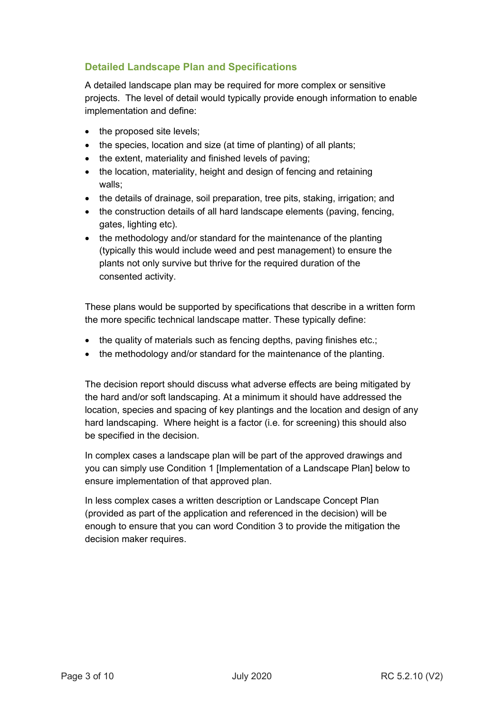## **Detailed Landscape Plan and Specifications**

A detailed landscape plan may be required for more complex or sensitive projects. The level of detail would typically provide enough information to enable implementation and define:

- the proposed site levels;
- the species, location and size (at time of planting) of all plants;
- the extent, materiality and finished levels of paving;
- the location, materiality, height and design of fencing and retaining walls;
- the details of drainage, soil preparation, tree pits, staking, irrigation; and
- the construction details of all hard landscape elements (paving, fencing, gates, lighting etc).
- the methodology and/or standard for the maintenance of the planting (typically this would include weed and pest management) to ensure the plants not only survive but thrive for the required duration of the consented activity.

These plans would be supported by specifications that describe in a written form the more specific technical landscape matter. These typically define:

- the quality of materials such as fencing depths, paving finishes etc.;
- the methodology and/or standard for the maintenance of the planting.

The decision report should discuss what adverse effects are being mitigated by the hard and/or soft landscaping. At a minimum it should have addressed the location, species and spacing of key plantings and the location and design of any hard landscaping. Where height is a factor (i.e. for screening) this should also be specified in the decision.

In complex cases a landscape plan will be part of the approved drawings and you can simply use Condition 1 [Implementation of a Landscape Plan] below to ensure implementation of that approved plan.

In less complex cases a written description or Landscape Concept Plan (provided as part of the application and referenced in the decision) will be enough to ensure that you can word Condition 3 to provide the mitigation the decision maker requires.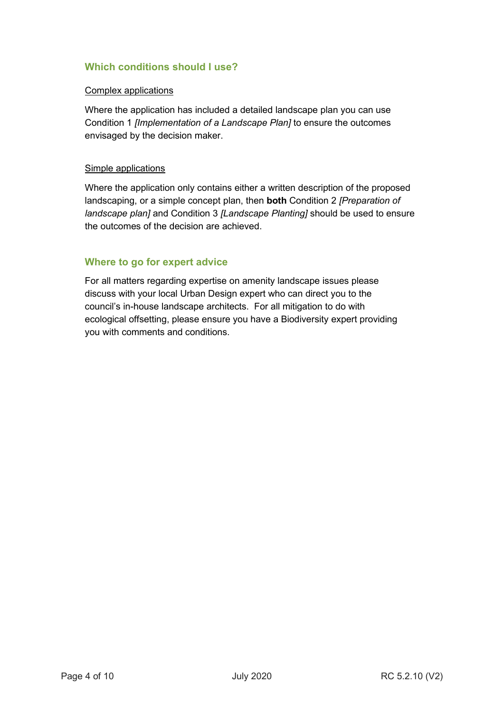## **Which conditions should I use?**

#### Complex applications

Where the application has included a detailed landscape plan you can use Condition 1 *[Implementation of a Landscape Plan]* to ensure the outcomes envisaged by the decision maker.

#### Simple applications

Where the application only contains either a written description of the proposed landscaping, or a simple concept plan, then **both** Condition 2 *[Preparation of landscape plan]* and Condition 3 *[Landscape Planting]* should be used to ensure the outcomes of the decision are achieved.

### **Where to go for expert advice**

For all matters regarding expertise on amenity landscape issues please discuss with your local Urban Design expert who can direct you to the council's in-house landscape architects. For all mitigation to do with ecological offsetting, please ensure you have a Biodiversity expert providing you with comments and conditions.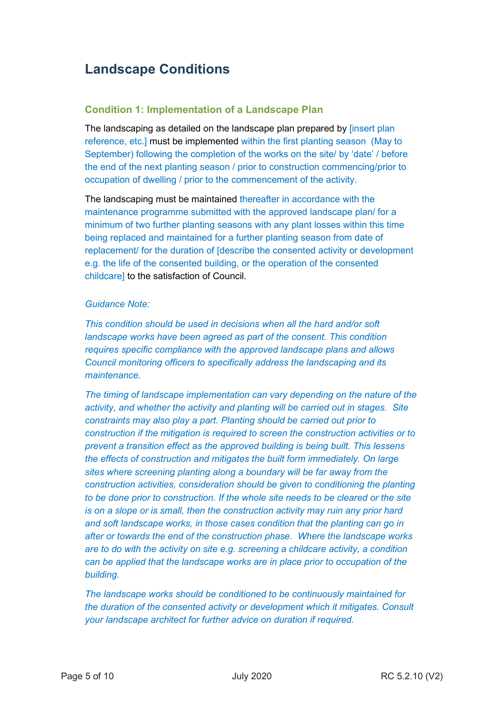## **Landscape Conditions**

#### **Condition 1: Implementation of a Landscape Plan**

The landscaping as detailed on the landscape plan prepared by [insert plan reference, etc.] must be implemented within the first planting season (May to September) following the completion of the works on the site/ by 'date' / before the end of the next planting season / prior to construction commencing/prior to occupation of dwelling / prior to the commencement of the activity.

The landscaping must be maintained thereafter in accordance with the maintenance programme submitted with the approved landscape plan/ for a minimum of two further planting seasons with any plant losses within this time being replaced and maintained for a further planting season from date of replacement/ for the duration of [describe the consented activity or development e.g. the life of the consented building, or the operation of the consented childcare] to the satisfaction of Council.

#### *Guidance Note:*

*This condition should be used in decisions when all the hard and/or soft landscape works have been agreed as part of the consent. This condition requires specific compliance with the approved landscape plans and allows Council monitoring officers to specifically address the landscaping and its maintenance.* 

*The timing of landscape implementation can vary depending on the nature of the activity, and whether the activity and planting will be carried out in stages. Site constraints may also play a part. Planting should be carried out prior to construction if the mitigation is required to screen the construction activities or to prevent a transition effect as the approved building is being built. This lessens the effects of construction and mitigates the built form immediately. On large sites where screening planting along a boundary will be far away from the construction activities, consideration should be given to conditioning the planting to be done prior to construction. If the whole site needs to be cleared or the site is on a slope or is small, then the construction activity may ruin any prior hard and soft landscape works, in those cases condition that the planting can go in after or towards the end of the construction phase. Where the landscape works are to do with the activity on site e.g. screening a childcare activity, a condition can be applied that the landscape works are in place prior to occupation of the building.* 

*The landscape works should be conditioned to be continuously maintained for the duration of the consented activity or development which it mitigates. Consult your landscape architect for further advice on duration if required.*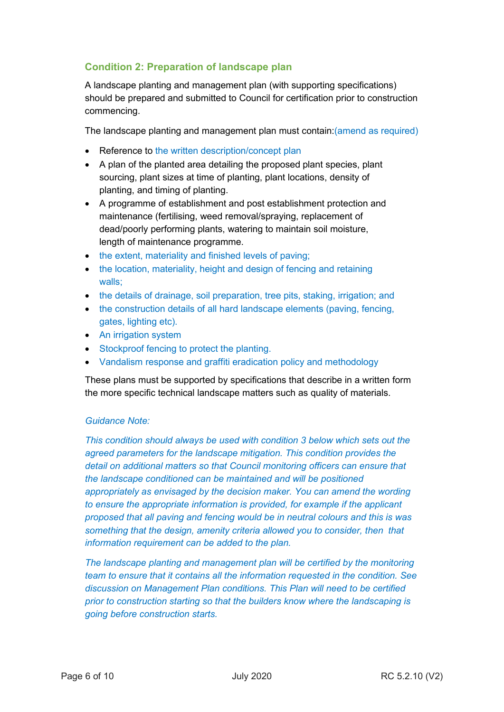## **Condition 2: Preparation of landscape plan**

A landscape planting and management plan (with supporting specifications) should be prepared and submitted to Council for certification prior to construction commencing.

The landscape planting and management plan must contain:(amend as required)

- Reference to the written description/concept plan
- A plan of the planted area detailing the proposed plant species, plant sourcing, plant sizes at time of planting, plant locations, density of planting, and timing of planting.
- A programme of establishment and post establishment protection and maintenance (fertilising, weed removal/spraying, replacement of dead/poorly performing plants, watering to maintain soil moisture, length of maintenance programme.
- the extent, materiality and finished levels of paving:
- the location, materiality, height and design of fencing and retaining walls;
- the details of drainage, soil preparation, tree pits, staking, irrigation; and
- the construction details of all hard landscape elements (paving, fencing, gates, lighting etc).
- An irrigation system
- Stockproof fencing to protect the planting.
- Vandalism response and graffiti eradication policy and methodology

These plans must be supported by specifications that describe in a written form the more specific technical landscape matters such as quality of materials.

#### *Guidance Note:*

*This condition should always be used with condition 3 below which sets out the agreed parameters for the landscape mitigation. This condition provides the detail on additional matters so that Council monitoring officers can ensure that the landscape conditioned can be maintained and will be positioned appropriately as envisaged by the decision maker. You can amend the wording to ensure the appropriate information is provided, for example if the applicant proposed that all paving and fencing would be in neutral colours and this is was something that the design, amenity criteria allowed you to consider, then that information requirement can be added to the plan.* 

*The landscape planting and management plan will be certified by the monitoring team to ensure that it contains all the information requested in the condition. See discussion on Management Plan conditions. This Plan will need to be certified prior to construction starting so that the builders know where the landscaping is going before construction starts.*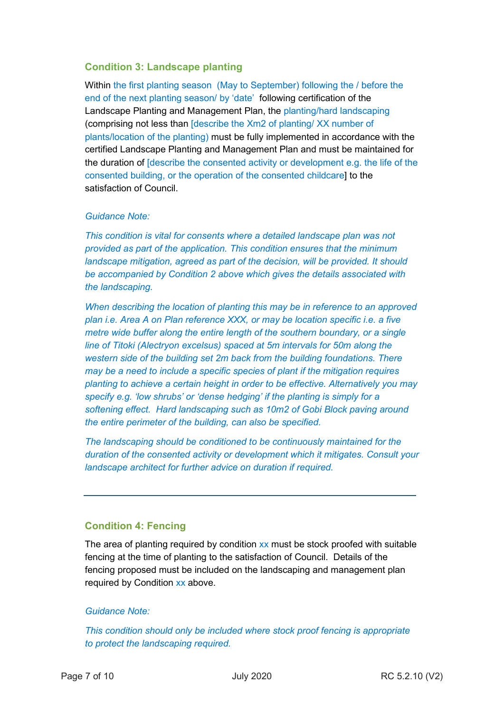## **Condition 3: Landscape planting**

Within the first planting season (May to September) following the / before the end of the next planting season/ by 'date' following certification of the Landscape Planting and Management Plan, the planting/hard landscaping (comprising not less than [describe the Xm2 of planting/ XX number of plants/location of the planting) must be fully implemented in accordance with the certified Landscape Planting and Management Plan and must be maintained for the duration of [describe the consented activity or development e.g. the life of the consented building, or the operation of the consented childcare] to the satisfaction of Council.

#### *Guidance Note:*

*This condition is vital for consents where a detailed landscape plan was not provided as part of the application. This condition ensures that the minimum landscape mitigation, agreed as part of the decision, will be provided. It should be accompanied by Condition 2 above which gives the details associated with the landscaping.* 

*When describing the location of planting this may be in reference to an approved plan i.e. Area A on Plan reference XXX, or may be location specific i.e. a five metre wide buffer along the entire length of the southern boundary, or a single line of Titoki (Alectryon excelsus) spaced at 5m intervals for 50m along the western side of the building set 2m back from the building foundations. There may be a need to include a specific species of plant if the mitigation requires planting to achieve a certain height in order to be effective. Alternatively you may specify e.g. 'low shrubs' or 'dense hedging' if the planting is simply for a softening effect. Hard landscaping such as 10m2 of Gobi Block paving around the entire perimeter of the building, can also be specified.* 

*The landscaping should be conditioned to be continuously maintained for the duration of the consented activity or development which it mitigates. Consult your landscape architect for further advice on duration if required.*

### **Condition 4: Fencing**

The area of planting required by condition  $xx$  must be stock proofed with suitable fencing at the time of planting to the satisfaction of Council. Details of the fencing proposed must be included on the landscaping and management plan required by Condition xx above.

#### *Guidance Note:*

*This condition should only be included where stock proof fencing is appropriate to protect the landscaping required.*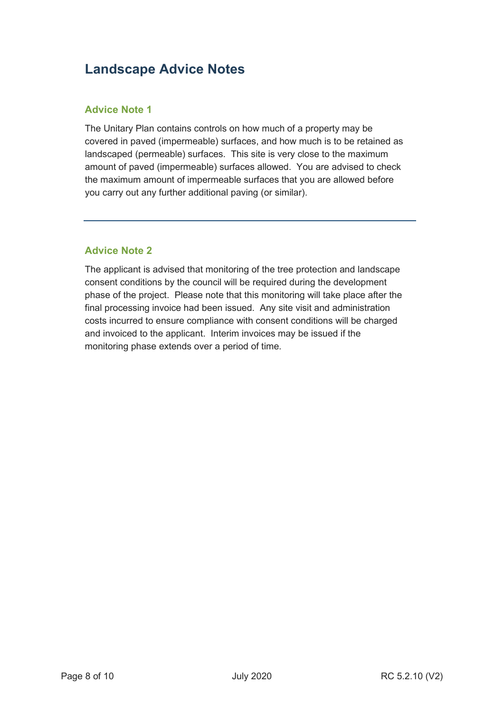## **Landscape Advice Notes**

## **Advice Note 1**

The Unitary Plan contains controls on how much of a property may be covered in paved (impermeable) surfaces, and how much is to be retained as landscaped (permeable) surfaces. This site is very close to the maximum amount of paved (impermeable) surfaces allowed. You are advised to check the maximum amount of impermeable surfaces that you are allowed before you carry out any further additional paving (or similar).

## **Advice Note 2**

The applicant is advised that monitoring of the tree protection and landscape consent conditions by the council will be required during the development phase of the project. Please note that this monitoring will take place after the final processing invoice had been issued. Any site visit and administration costs incurred to ensure compliance with consent conditions will be charged and invoiced to the applicant. Interim invoices may be issued if the monitoring phase extends over a period of time.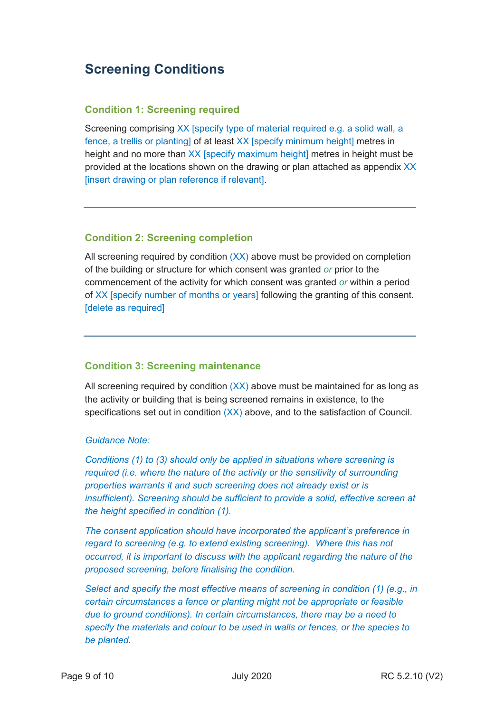## **Screening Conditions**

#### **Condition 1: Screening required**

Screening comprising XX [specify type of material required e.g. a solid wall, a fence, a trellis or planting] of at least XX [specify minimum height] metres in height and no more than XX [specify maximum height] metres in height must be provided at the locations shown on the drawing or plan attached as appendix XX [insert drawing or plan reference if relevant].

#### **Condition 2: Screening completion**

All screening required by condition  $(XX)$  above must be provided on completion of the building or structure for which consent was granted *or* prior to the commencement of the activity for which consent was granted *or* within a period of XX [specify number of months or years] following the granting of this consent. [delete as required]

### **Condition 3: Screening maintenance**

All screening required by condition (XX) above must be maintained for as long as the activity or building that is being screened remains in existence, to the specifications set out in condition (XX) above, and to the satisfaction of Council.

#### *Guidance Note:*

*Conditions (1) to (3) should only be applied in situations where screening is required (i.e. where the nature of the activity or the sensitivity of surrounding properties warrants it and such screening does not already exist or is insufficient). Screening should be sufficient to provide a solid, effective screen at the height specified in condition (1).*

*The consent application should have incorporated the applicant's preference in regard to screening (e.g. to extend existing screening). Where this has not occurred, it is important to discuss with the applicant regarding the nature of the proposed screening, before finalising the condition.*

*Select and specify the most effective means of screening in condition (1) (e.g., in certain circumstances a fence or planting might not be appropriate or feasible due to ground conditions). In certain circumstances, there may be a need to specify the materials and colour to be used in walls or fences, or the species to be planted.*